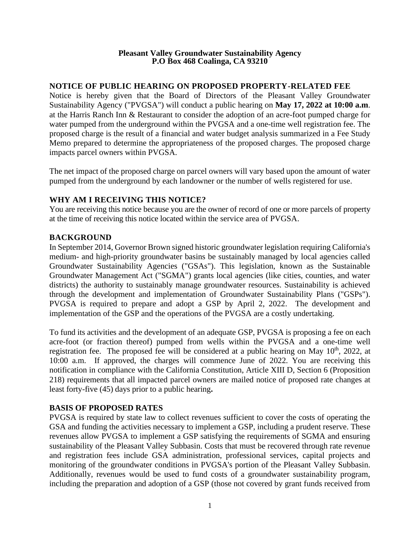#### **Pleasant Valley Groundwater Sustainability Agency P.O Box 468 Coalinga, CA 93210**

### **NOTICE OF PUBLIC HEARING ON PROPOSED PROPERTY-RELATED FEE**

Notice is hereby given that the Board of Directors of the Pleasant Valley Groundwater Sustainability Agency ("PVGSA") will conduct a public hearing on **May 17, 2022 at 10:00 a.m**. at the Harris Ranch Inn & Restaurant to consider the adoption of an acre-foot pumped charge for water pumped from the underground within the PVGSA and a one-time well registration fee. The proposed charge is the result of a financial and water budget analysis summarized in a Fee Study Memo prepared to determine the appropriateness of the proposed charges. The proposed charge impacts parcel owners within PVGSA.

The net impact of the proposed charge on parcel owners will vary based upon the amount of water pumped from the underground by each landowner or the number of wells registered for use.

# **WHY AM I RECEIVING THIS NOTICE?**

You are receiving this notice because you are the owner of record of one or more parcels of property at the time of receiving this notice located within the service area of PVGSA.

### **BACKGROUND**

In September 2014, Governor Brown signed historic groundwater legislation requiring California's medium- and high-priority groundwater basins be sustainably managed by local agencies called Groundwater Sustainability Agencies ("GSAs"). This legislation, known as the Sustainable Groundwater Management Act ("SGMA") grants local agencies (like cities, counties, and water districts) the authority to sustainably manage groundwater resources. Sustainability is achieved through the development and implementation of Groundwater Sustainability Plans ("GSPs"). PVGSA is required to prepare and adopt a GSP by April 2, 2022. The development and implementation of the GSP and the operations of the PVGSA are a costly undertaking.

To fund its activities and the development of an adequate GSP, PVGSA is proposing a fee on each acre-foot (or fraction thereof) pumped from wells within the PVGSA and a one-time well registration fee. The proposed fee will be considered at a public hearing on May  $10<sup>th</sup>$ , 2022, at 10:00 a.m. If approved, the charges will commence June of 2022. You are receiving this notification in compliance with the California Constitution, Article XIII D, Section 6 (Proposition 218) requirements that all impacted parcel owners are mailed notice of proposed rate changes at least forty-five (45) days prior to a public hearing**.**

### **BASIS OF PROPOSED RATES**

PVGSA is required by state law to collect revenues sufficient to cover the costs of operating the GSA and funding the activities necessary to implement a GSP, including a prudent reserve. These revenues allow PVGSA to implement a GSP satisfying the requirements of SGMA and ensuring sustainability of the Pleasant Valley Subbasin. Costs that must be recovered through rate revenue and registration fees include GSA administration, professional services, capital projects and monitoring of the groundwater conditions in PVGSA's portion of the Pleasant Valley Subbasin. Additionally, revenues would be used to fund costs of a groundwater sustainability program, including the preparation and adoption of a GSP (those not covered by grant funds received from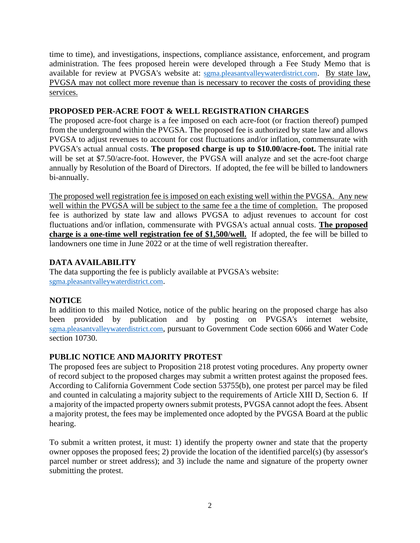time to time), and investigations, inspections, compliance assistance, enforcement, and program administration. The fees proposed herein were developed through a Fee Study Memo that is available for review at PVGSA's website at: [sgma.pleasantvalleywaterdistrict.com](https://sgma.pleasantvalleywaterdistrict.com/). By state law, PVGSA may not collect more revenue than is necessary to recover the costs of providing these services.

# **PROPOSED PER-ACRE FOOT & WELL REGISTRATION CHARGES**

The proposed acre-foot charge is a fee imposed on each acre-foot (or fraction thereof) pumped from the underground within the PVGSA. The proposed fee is authorized by state law and allows PVGSA to adjust revenues to account for cost fluctuations and/or inflation, commensurate with PVGSA's actual annual costs. **The proposed charge is up to \$10.00/acre-foot.** The initial rate will be set at \$7.50/acre-foot. However, the PVGSA will analyze and set the acre-foot charge annually by Resolution of the Board of Directors. If adopted, the fee will be billed to landowners bi-annually.

The proposed well registration fee is imposed on each existing well within the PVGSA. Any new well within the PVGSA will be subject to the same fee a the time of completion. The proposed fee is authorized by state law and allows PVGSA to adjust revenues to account for cost fluctuations and/or inflation, commensurate with PVGSA's actual annual costs. **The proposed charge is a one-time well registration fee of \$1,500/well.** If adopted, the fee will be billed to landowners one time in June 2022 or at the time of well registration thereafter.

### **DATA AVAILABILITY**

The data supporting the fee is publicly available at PVGSA's website: [sgma.pleasantvalleywaterdistrict.com](https://sgma.pleasantvalleywaterdistrict.com/).

# **NOTICE**

In addition to this mailed Notice, notice of the public hearing on the proposed charge has also been provided by publication and by posting on PVGSA's internet website, [sgma.pleasantvalleywaterdistrict.com](https://sgma.pleasantvalleywaterdistrict.com/), pursuant to Government Code section 6066 and Water Code section 10730.

# **PUBLIC NOTICE AND MAJORITY PROTEST**

The proposed fees are subject to Proposition 218 protest voting procedures. Any property owner of record subject to the proposed charges may submit a written protest against the proposed fees. According to California Government Code section 53755(b), one protest per parcel may be filed and counted in calculating a majority subject to the requirements of Article XIII D, Section 6. If a majority of the impacted property owners submit protests, PVGSA cannot adopt the fees. Absent a majority protest, the fees may be implemented once adopted by the PVGSA Board at the public hearing.

To submit a written protest, it must: 1) identify the property owner and state that the property owner opposes the proposed fees; 2) provide the location of the identified parcel(s) (by assessor's parcel number or street address); and 3) include the name and signature of the property owner submitting the protest.